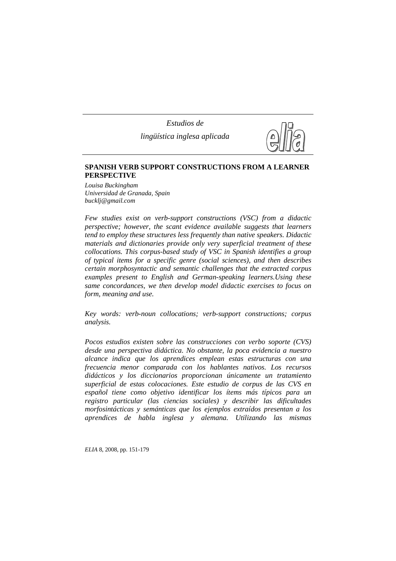*Estudios de lingüística inglesa aplicada*



# **SPANISH VERB SUPPORT CONSTRUCTIONS FROM A LEARNER PERSPECTIVE**

*Louisa Buckingham Universidad de Granada, Spain bucklj@gmail.com*

*Few studies exist on verb-support constructions (VSC) from a didactic perspective; however, the scant evidence available suggests that learners tend to employ these structures less frequently than native speakers. Didactic materials and dictionaries provide only very superficial treatment of these collocations. This corpus-based study of VSC in Spanish identifies a group of typical items for a specific genre (social sciences), and then describes certain morphosyntactic and semantic challenges that the extracted corpus examples present to English and German-speaking learners.Using these same concordances, we then develop model didactic exercises to focus on form, meaning and use.* 

*Key words: verb-noun collocations; verb-support constructions; corpus analysis.* 

*Pocos estudios existen sobre las construcciones con verbo soporte (CVS) desde una perspectiva didáctica. No obstante, la poca evidencia a nuestro alcance indica que los aprendices emplean estas estructuras con una frecuencia menor comparada con los hablantes nativos. Los recursos didácticos y los diccionarios proporcionan únicamente un tratamiento superficial de estas colocaciones. Este estudio de corpus de las CVS en español tiene como objetivo identificar los ítems más típicos para un registro particular (las ciencias sociales) y describir las dificultades morfosintácticas y semánticas que los ejemplos extraídos presentan a los aprendices de habla inglesa y alemana. Utilizando las mismas*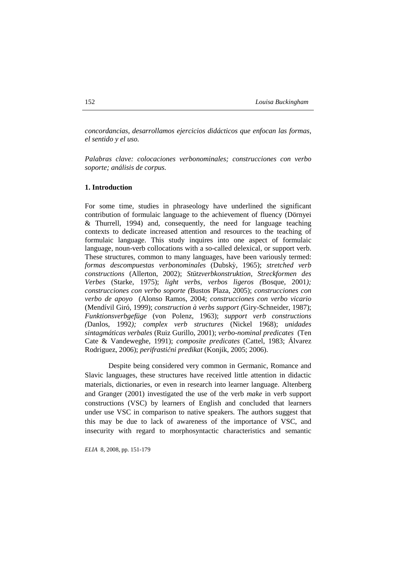*concordancias, desarrollamos ejercicios didácticos que enfocan las formas, el sentido y el uso.* 

*Palabras clave: colocaciones verbonominales; construcciones con verbo soporte; análisis de corpus.* 

# **1. Introduction**

For some time, studies in phraseology have underlined the significant contribution of formulaic language to the achievement of fluency (Dörnyei & Thurrell, 1994) and, consequently, the need for language teaching contexts to dedicate increased attention and resources to the teaching of formulaic language. This study inquires into one aspect of formulaic language, noun-verb collocations with a so-called delexical, or support verb. These structures, common to many languages, have been variously termed: *formas descompuestas verbonominales* (Dubskỳ, 1965); *stretched verb constructions* (Allerton, 2002); *Stützverbkonstruktion*, *Streckformen des Verbes* (Starke, 1975); *light verbs, verbos ligeros (*Bosque, 2001*); construcciones con verbo soporte (*Bustos Plaza, 2005); *construcciones con verbo de apoyo* (Alonso Ramos, 2004; *construcciones con verbo vicario* (Mendívil Giró, 1999); *construction à verbs support (*Giry-Schneider, 1987); *Funktionsverbgefüge* (von Polenz, 1963); *support verb constructions (*Danlos, 1992*); complex verb structures* (Nickel 1968); *unidades sintagmáticas verbales* (Ruiz Gurillo, 2001); *verbo-nominal predicates* (Ten Cate & Vandeweghe, 1991); *composite predicates* (Cattel, 1983; Álvarez Rodriguez, 2006); *perifrastični predikat* (Konjik, 2005; 2006).

Despite being considered very common in Germanic, Romance and Slavic languages, these structures have received little attention in didactic materials, dictionaries, or even in research into learner language. Altenberg and Granger (2001) investigated the use of the verb *make* in verb support constructions (VSC) by learners of English and concluded that learners under use VSC in comparison to native speakers. The authors suggest that this may be due to lack of awareness of the importance of VSC, and insecurity with regard to morphosyntactic characteristics and semantic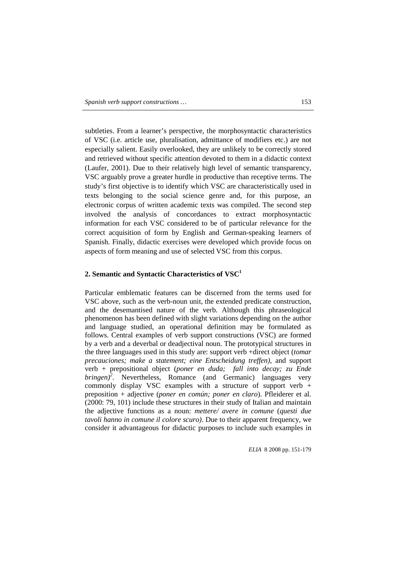subtleties. From a learner's perspective, the morphosyntactic characteristics of VSC (i.e. article use, pluralisation, admittance of modifiers etc.) are not especially salient. Easily overlooked, they are unlikely to be correctly stored and retrieved without specific attention devoted to them in a didactic context (Laufer, 2001). Due to their relatively high level of semantic transparency, VSC arguably prove a greater hurdle in productive than receptive terms. The study's first objective is to identify which VSC are characteristically used in texts belonging to the social science genre and, for this purpose, an electronic corpus of written academic texts was compiled. The second step involved the analysis of concordances to extract morphosyntactic information for each VSC considered to be of particular relevance for the correct acquisition of form by English and German-speaking learners of Spanish. Finally, didactic exercises were developed which provide focus on aspects of form meaning and use of selected VSC from this corpus.

# **2. Semantic and Syntactic Characteristics of VSC<sup>1</sup>**

Particular emblematic features can be discerned from the terms used for VSC above, such as the verb-noun unit, the extended predicate construction, and the desemantised nature of the verb. Although this phraseological phenomenon has been defined with slight variations depending on the author and language studied, an operational definition may be formulated as follows. Central examples of verb support constructions (VSC) are formed by a verb and a deverbal or deadjectival noun. The prototypical structures in the three languages used in this study are: support verb +direct object (*tomar precauciones; make a statement; eine Entscheidung treffen),* and support verb + prepositional object (*poner en duda; fall into decay; zu Ende bringen)<sup>2</sup>* . Nevertheless, Romance (and Germanic) languages very commonly display VSC examples with a structure of support verb  $+$ preposition + adjective (*poner en común; poner en claro*). Pfleiderer et al. (2000: 79, 101) include these structures in their study of Italian and maintain the adjective functions as a noun: *mettere/ avere in comune* (*questi due tavoli hanno in comune il colore scuro)*. Due to their apparent frequency, we consider it advantageous for didactic purposes to include such examples in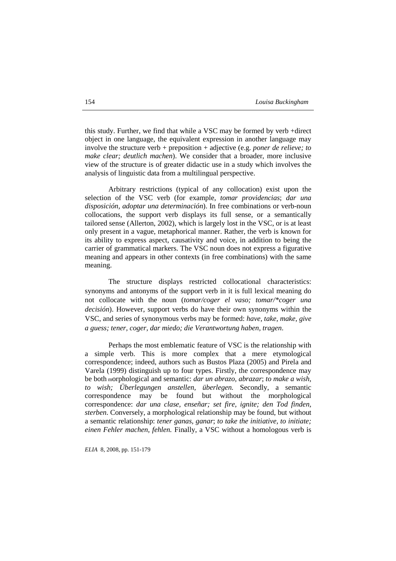this study. Further, we find that while a VSC may be formed by verb +direct object in one language, the equivalent expression in another language may involve the structure verb + preposition + adjective (e.g. *poner de relieve; to make clear; deutlich machen*). We consider that a broader, more inclusive view of the structure is of greater didactic use in a study which involves the analysis of linguistic data from a multilingual perspective.

Arbitrary restrictions (typical of any collocation) exist upon the selection of the VSC verb (for example, *tomar providencias*; *dar una disposición, adoptar una determinación*). In free combinations or verb-noun collocations, the support verb displays its full sense, or a semantically tailored sense (Allerton, 2002), which is largely lost in the VSC, or is at least only present in a vague, metaphorical manner. Rather, the verb is known for its ability to express aspect, causativity and voice, in addition to being the carrier of grammatical markers. The VSC noun does not express a figurative meaning and appears in other contexts (in free combinations) with the same meaning.

The structure displays restricted collocational characteristics: synonyms and antonyms of the support verb in it is full lexical meaning do not collocate with the noun (*tomar/coger el vaso; tomar/\*coger una decisión*). However, support verbs do have their own synonyms within the VSC, and series of synonymous verbs may be formed: *have, take, make, give a guess; tener, coger, dar miedo; die Verantwortung haben, tragen*.

Perhaps the most emblematic feature of VSC is the relationship with a simple verb. This is more complex that a mere etymological correspondence; indeed, authors such as Bustos Plaza (2005) and Pirela and Varela (1999) distinguish up to four types. Firstly, the correspondence may be both morphological and semantic: *dar un abrazo, abrazar*; *to make a wish, to wish; Überlegungen anstellen, überlegen.* Secondly, a semantic correspondence may be found but without the morphological correspondence: *dar una clase, enseñar; set fire, ignite; den Tod finden, sterben*. Conversely, a morphological relationship may be found, but without a semantic relationship: *tener ganas, ganar*; *to take the initiative, to initiate; einen Fehler machen, fehlen.* Finally, a VSC without a homologous verb is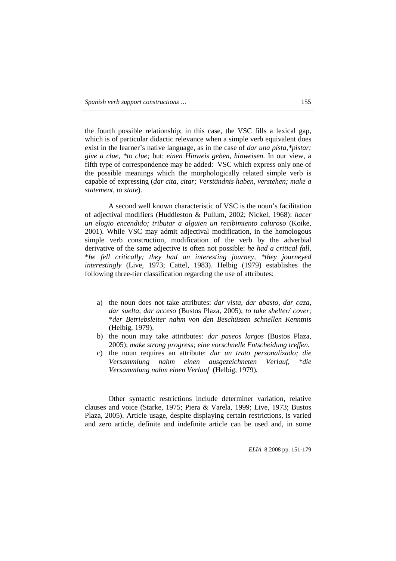the fourth possible relationship; in this case, the VSC fills a lexical gap, which is of particular didactic relevance when a simple verb equivalent does exist in the learner's native language, as in the case of *dar una pista,\*pistar; give a clue, \*to clue;* but: *einen Hinweis geben, hinweisen.* In our view, a fifth type of correspondence may be added: VSC which express only one of the possible meanings which the morphologically related simple verb is capable of expressing (*dar cita, citar; Verständnis haben, verstehen; make a statement, to state*)*.*

A second well known characteristic of VSC is the noun's facilitation of adjectival modifiers (Huddleston & Pullum, 2002; Nickel, 1968): *hacer un elogio encendido; tributar a alguien un recibimiento caluroso* (Koike, 2001). While VSC may admit adjectival modification, in the homologous simple verb construction, modification of the verb by the adverbial derivative of the same adjective is often not possible: *he had a critical fall*, \**he fell critically; they had an interesting journey, \*they journeyed interestingly* (Live, 1973; Cattel, 1983). Helbig (1979) establishes the following three-tier classification regarding the use of attributes:

- a) the noun does not take attributes: *dar vista, dar abasto, dar caza, dar suelta, dar acceso* (Bustos Plaza, 2005); *to take shelter/ cover*; \**der Betriebsleiter nahm von den Beschüssen schnellen Kenntnis*  (Helbig, 1979).
- b) the noun may take attritbutes*: dar paseos largos* (Bustos Plaza, 2005); *make strong progress; eine vorschnelle Entscheidung treffen.*
- c) the noun requires an attribute: *dar un trato personalizado; die Versammlung nahm einen ausgezeichneten Verlauf, \*die Versammlung nahm einen Verlauf* (Helbig, 1979)*.*

Other syntactic restrictions include determiner variation, relative clauses and voice (Starke, 1975; Piera & Varela, 1999; Live, 1973; Bustos Plaza, 2005). Article usage, despite displaying certain restrictions, is varied and zero article, definite and indefinite article can be used and, in some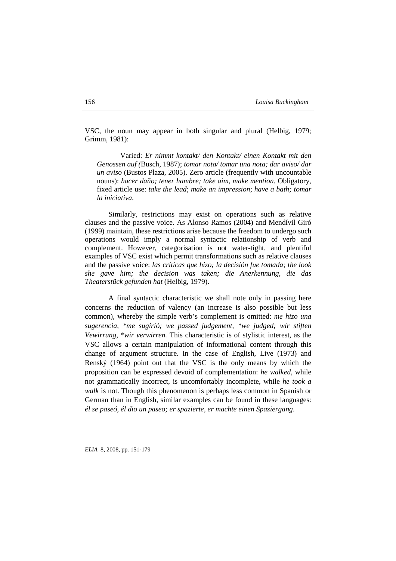VSC, the noun may appear in both singular and plural (Helbig, 1979; Grimm, 1981):

Varied: *Er nimmt kontakt/ den Kontakt/ einen Kontakt mit den Genossen auf (*Busch, 1987); *tomar nota/ tomar una nota; dar aviso/ dar un aviso* (Bustos Plaza, 2005). Zero article (frequently with uncountable nouns): *hacer daño; tener hambre; take aim, make mention.* Obligatory, fixed article use: *take the lead*; *make an impression*; *have a bath; tomar la iniciativa.* 

Similarly, restrictions may exist on operations such as relative clauses and the passive voice. As Alonso Ramos (2004) and Mendívil Giró (1999) maintain, these restrictions arise because the freedom to undergo such operations would imply a normal syntactic relationship of verb and complement. However, categorisation is not water-tight, and plentiful examples of VSC exist which permit transformations such as relative clauses and the passive voice: *las críticas que hizo; la decisión fue tomada; the look she gave him; the decision was taken; die Anerkennung, die das Theaterstück gefunden hat* (Helbig, 1979).

A final syntactic characteristic we shall note only in passing here concerns the reduction of valency (an increase is also possible but less common), whereby the simple verb's complement is omitted: *me hizo una sugerencia, \*me sugirió; we passed judgement, \*we judged; wir stiften Vewirrung, \*wir verwirren.* This characteristic is of stylistic interest, as the VSC allows a certain manipulation of informational content through this change of argument structure. In the case of English, Live (1973) and Renský (1964) point out that the VSC is the only means by which the proposition can be expressed devoid of complementation: *he walked*, while not grammatically incorrect, is uncomfortably incomplete, while *he took a walk* is not. Though this phenomenon is perhaps less common in Spanish or German than in English, similar examples can be found in these languages: *él se paseó, él dio un paseo; er spazierte, er machte einen Spaziergang*.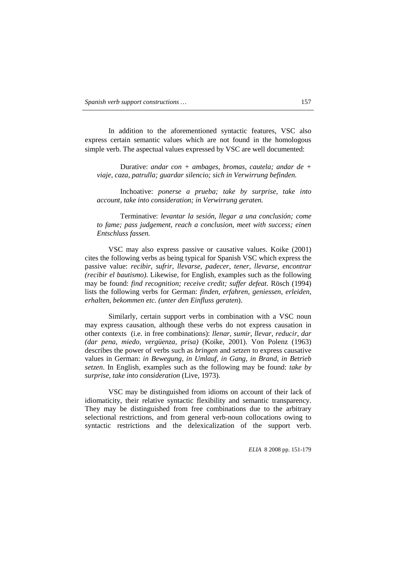In addition to the aforementioned syntactic features, VSC also express certain semantic values which are not found in the homologous simple verb. The aspectual values expressed by VSC are well documented:

Durative: *andar con + ambages, bromas, cautela; andar de + viaje, caza, patrulla; guardar silencio; sich in Verwirrung befinden.*

Inchoative: *ponerse a prueba; take by surprise, take into account, take into consideration; in Verwirrung geraten.* 

Terminative: *levantar la sesión, llegar a una conclusión; come to fame; pass judgement, reach a conclusion, meet with success; einen Entschluss fassen.*

VSC may also express passive or causative values. Koike (2001) cites the following verbs as being typical for Spanish VSC which express the passive value: *recibir, sufrir, llevarse, padecer, tener, llevarse, encontrar (recibir el bautismo)*. Likewise, for English, examples such as the following may be found: *find recognition; receive credit; suffer defeat.* Rösch (1994) lists the following verbs for German: *finden, erfahren, geniessen, erleiden, erhalten, bekommen etc. (unter den Einfluss geraten*).

Similarly, certain support verbs in combination with a VSC noun may express causation, although these verbs do not express causation in other contexts (i.e. in free combinations): *llenar, sumir, llevar, reducir, dar (dar pena, miedo, vergüenza, prisa)* (Koike, 2001). Von Polenz (1963) describes the power of verbs such as *bringen* and *setzen* to express causative values in German: *in Bewegung, in Umlauf, in Gang, in Brand, in Betrieb setzen*. In English, examples such as the following may be found: *take by surprise, take into consideration* (Live, 1973).

VSC may be distinguished from idioms on account of their lack of idiomaticity, their relative syntactic flexibility and semantic transparency. They may be distinguished from free combinations due to the arbitrary selectional restrictions, and from general verb-noun collocations owing to syntactic restrictions and the delexicalization of the support verb.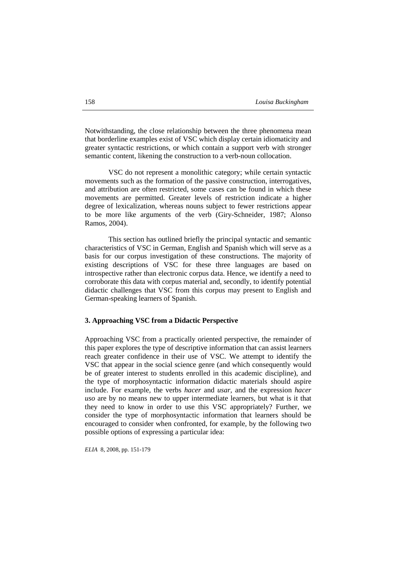Notwithstanding, the close relationship between the three phenomena mean that borderline examples exist of VSC which display certain idiomaticity and greater syntactic restrictions, or which contain a support verb with stronger semantic content, likening the construction to a verb-noun collocation.

VSC do not represent a monolithic category; while certain syntactic movements such as the formation of the passive construction, interrogatives, and attribution are often restricted, some cases can be found in which these movements are permitted. Greater levels of restriction indicate a higher degree of lexicalization, whereas nouns subject to fewer restrictions appear to be more like arguments of the verb (Giry-Schneider, 1987; Alonso Ramos, 2004).

This section has outlined briefly the principal syntactic and semantic characteristics of VSC in German, English and Spanish which will serve as a basis for our corpus investigation of these constructions. The majority of existing descriptions of VSC for these three languages are based on introspective rather than electronic corpus data. Hence, we identify a need to corroborate this data with corpus material and, secondly, to identify potential didactic challenges that VSC from this corpus may present to English and German-speaking learners of Spanish.

## **3. Approaching VSC from a Didactic Perspective**

Approaching VSC from a practically oriented perspective, the remainder of this paper explores the type of descriptive information that can assist learners reach greater confidence in their use of VSC. We attempt to identify the VSC that appear in the social science genre (and which consequently would be of greater interest to students enrolled in this academic discipline), and the type of morphosyntactic information didactic materials should aspire include. For example, the verbs *hacer* and *usar,* and the expression *hacer uso* are by no means new to upper intermediate learners, but what is it that they need to know in order to use this VSC appropriately? Further, we consider the type of morphosyntactic information that learners should be encouraged to consider when confronted, for example, by the following two possible options of expressing a particular idea: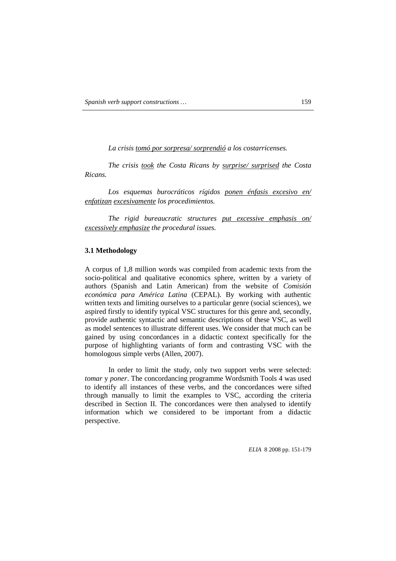*La crisis tomó por sorpresa/ sorprendió a los costarricenses.* 

*The crisis took the Costa Ricans by surprise/ surprised the Costa Ricans.* 

*Los esquemas burocráticos rígidos ponen énfasis excesivo en/ enfatizan excesivamente los procedimientos.* 

*The rigid bureaucratic structures put excessive emphasis on/ excessively emphasize the procedural issues.* 

## **3.1 Methodology**

A corpus of 1,8 million words was compiled from academic texts from the socio-political and qualitative economics sphere, written by a variety of authors (Spanish and Latin American) from the website of *Comisión económica para América Latina* (CEPAL). By working with authentic written texts and limiting ourselves to a particular genre (social sciences), we aspired firstly to identify typical VSC structures for this genre and, secondly, provide authentic syntactic and semantic descriptions of these VSC, as well as model sentences to illustrate different uses. We consider that much can be gained by using concordances in a didactic context specifically for the purpose of highlighting variants of form and contrasting VSC with the homologous simple verbs (Allen, 2007).

In order to limit the study, only two support verbs were selected: *tomar* y *poner*. The concordancing programme Wordsmith Tools 4 was used to identify all instances of these verbs, and the concordances were sifted through manually to limit the examples to VSC, according the criteria described in Section II. The concordances were then analysed to identify information which we considered to be important from a didactic perspective.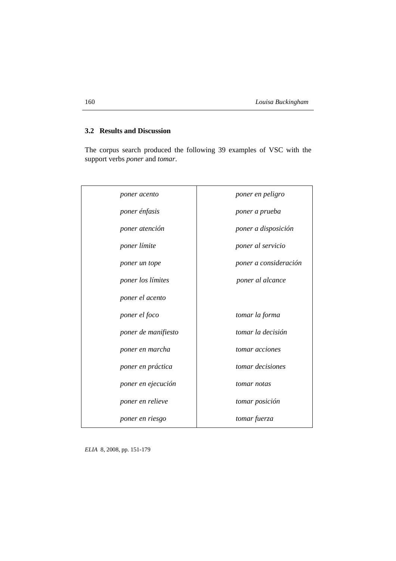# **3.2 Results and Discussion**

The corpus search produced the following 39 examples of VSC with the support verbs *poner* and *tomar*.

| poner acento        | poner en peligro      |
|---------------------|-----------------------|
| poner énfasis       | poner a prueba        |
| poner atención      | poner a disposición   |
| poner límite        | poner al servicio     |
| poner un tope       | poner a consideración |
| poner los límites   | poner al alcance      |
| poner el acento     |                       |
| poner el foco       | tomar la forma        |
| poner de manifiesto | tomar la decisión     |
| poner en marcha     | tomar acciones        |
| poner en práctica   | tomar decisiones      |
| poner en ejecución  | tomar notas           |
| poner en relieve    | tomar posición        |
| poner en riesgo     | tomar fuerza          |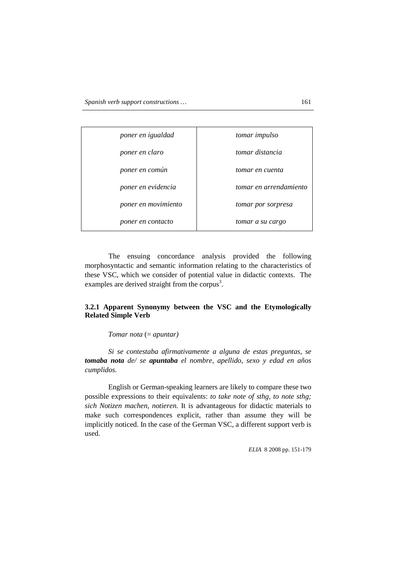| poner en igualdad   | tomar impulso          |
|---------------------|------------------------|
| poner en claro      | tomar distancia        |
| poner en común      | tomar en cuenta        |
| poner en evidencia  | tomar en arrendamiento |
| poner en movimiento | tomar por sorpresa     |
| poner en contacto   | tomar a su cargo       |

The ensuing concordance analysis provided the following morphosyntactic and semantic information relating to the characteristics of these VSC, which we consider of potential value in didactic contexts. The examples are derived straight from the corpus<sup>3</sup>.

# **3.2.1 Apparent Synonymy between the VSC and the Etymologically Related Simple Verb**

## *Tomar nota* (= *apuntar)*

*Si se contestaba afirmativamente a alguna de estas preguntas, se tomaba nota de/ se apuntaba el nombre, apellido, sexo y edad en años cumplidos.* 

English or German-speaking learners are likely to compare these two possible expressions to their equivalents: *to take note of sthg, to note sthg; sich Notizen machen, notieren.* It is advantageous for didactic materials to make such correspondences explicit, rather than assume they will be implicitly noticed. In the case of the German VSC, a different support verb is used.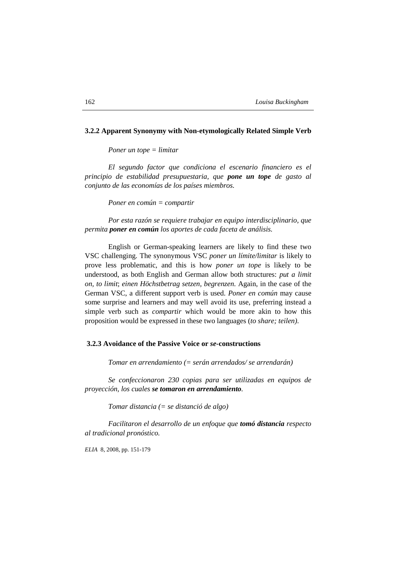## **3.2.2 Apparent Synonymy with Non-etymologically Related Simple Verb**

*Poner un tope = limitar* 

*El segundo factor que condiciona el escenario financiero es el principio de estabilidad presupuestaria, que pone un tope de gasto al conjunto de las economías de los países miembros.* 

*Poner en común = compartir* 

*Por esta razón se requiere trabajar en equipo interdisciplinario, que permita poner en común los aportes de cada faceta de análisis.* 

English or German-speaking learners are likely to find these two VSC challenging. The synonymous VSC *poner un límite/limitar* is likely to prove less problematic, and this is how *poner un tope* is likely to be understood, as both English and German allow both structures: *put a limit on, to limit*; *einen Höchstbetrag setzen, begrenzen.* Again, in the case of the German VSC, a different support verb is used. *Poner en común* may cause some surprise and learners and may well avoid its use, preferring instead a simple verb such as *compartir* which would be more akin to how this proposition would be expressed in these two languages (*to share; teilen)*.

#### **3.2.3 Avoidance of the Passive Voice or** *se***-constructions**

*Tomar en arrendamiento (= serán arrendados/ se arrendarán)* 

*Se confeccionaron 230 copias para ser utilizadas en equipos de proyección, los cuales se tomaron en arrendamiento.* 

*Tomar distancia (= se distanció de algo)* 

*Facilitaron el desarrollo de un enfoque que tomó distancia respecto al tradicional pronóstico.*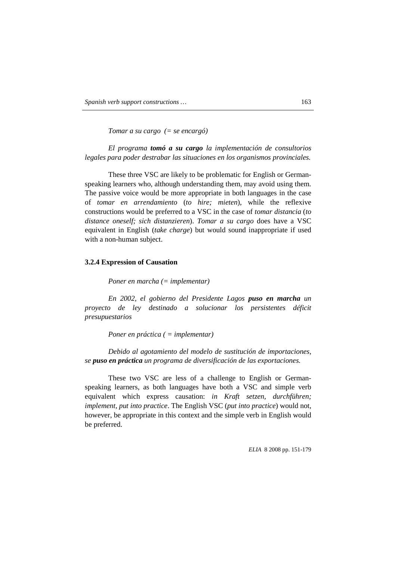*Tomar a su cargo (= se encargó)* 

*El programa tomó a su cargo la implementación de consultorios legales para poder destrabar las situaciones en los organismos provinciales.* 

These three VSC are likely to be problematic for English or Germanspeaking learners who, although understanding them, may avoid using them. The passive voice would be more appropriate in both languages in the case of *tomar en arrendamiento* (*to hire; mieten*), while the reflexive constructions would be preferred to a VSC in the case of *tomar distancia* (*to distance oneself; sich distanzieren*). *Tomar a su cargo* does have a VSC equivalent in English (*take charge*) but would sound inappropriate if used with a non-human subject.

### **3.2.4 Expression of Causation**

*Poner en marcha (= implementar)* 

*En 2002, el gobierno del Presidente Lagos puso en marcha un proyecto de ley destinado a solucionar los persistentes déficit presupuestarios* 

*Poner en práctica ( = implementar)* 

*Debido al agotamiento del modelo de sustitución de importaciones, se puso en práctica un programa de diversificación de las exportaciones.* 

These two VSC are less of a challenge to English or Germanspeaking learners, as both languages have both a VSC and simple verb equivalent which express causation: *in Kraft setzen, durchführen; implement, put into practice*. The English VSC (*put into practice*) would not, however, be appropriate in this context and the simple verb in English would be preferred.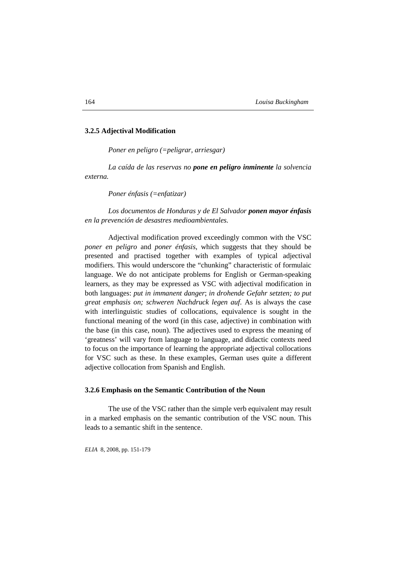## **3.2.5 Adjectival Modification**

*Poner en peligro (=peligrar, arriesgar)* 

*La caída de las reservas no pone en peligro inminente la solvencia externa.* 

*Poner énfasis (=enfatizar)* 

*Los documentos de Honduras y de El Salvador ponen mayor énfasis en la prevención de desastres medioambientales.*

Adjectival modification proved exceedingly common with the VSC *poner en peligro* and *poner énfasis*, which suggests that they should be presented and practised together with examples of typical adjectival modifiers. This would underscore the "chunking" characteristic of formulaic language. We do not anticipate problems for English or German-speaking learners, as they may be expressed as VSC with adjectival modification in both languages: *put in immanent danger*; *in drohende Gefahr setzten; to put great emphasis on; schweren Nachdruck legen auf*. As is always the case with interlinguistic studies of collocations, equivalence is sought in the functional meaning of the word (in this case, adjective) in combination with the base (in this case, noun). The adjectives used to express the meaning of 'greatness' will vary from language to language, and didactic contexts need to focus on the importance of learning the appropriate adjectival collocations for VSC such as these. In these examples, German uses quite a different adjective collocation from Spanish and English.

## **3.2.6 Emphasis on the Semantic Contribution of the Noun**

The use of the VSC rather than the simple verb equivalent may result in a marked emphasis on the semantic contribution of the VSC noun. This leads to a semantic shift in the sentence.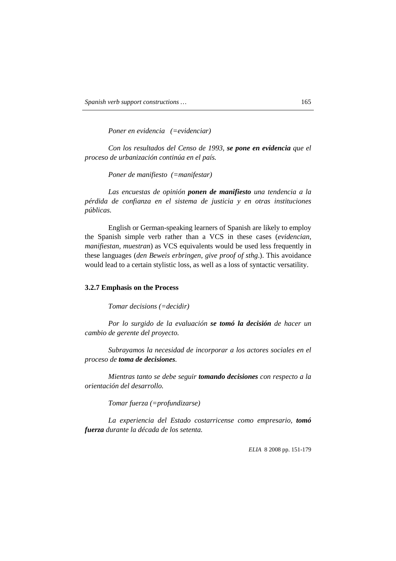*Poner en evidencia (=evidenciar)* 

*Con los resultados del Censo de 1993, se pone en evidencia que el proceso de urbanización continúa en el país.* 

*Poner de manifiesto (=manifestar)* 

*Las encuestas de opinión ponen de manifiesto una tendencia a la pérdida de confianza en el sistema de justicia y en otras instituciones públicas.* 

English or German-speaking learners of Spanish are likely to employ the Spanish simple verb rather than a VCS in these cases (*evidencian, manifiestan, muestran*) as VCS equivalents would be used less frequently in these languages (*den Beweis erbringen, give proof of sthg*.). This avoidance would lead to a certain stylistic loss, as well as a loss of syntactic versatility.

#### **3.2.7 Emphasis on the Process**

*Tomar decisions (=decidir)* 

*Por lo surgido de la evaluación se tomó la decisión de hacer un cambio de gerente del proyecto.* 

*Subrayamos la necesidad de incorporar a los actores sociales en el proceso de toma de decisiones.* 

*Mientras tanto se debe seguir tomando decisiones con respecto a la orientación del desarrollo.* 

*Tomar fuerza (=profundizarse)* 

*La experiencia del Estado costarricense como empresario, tomó fuerza durante la década de los setenta.*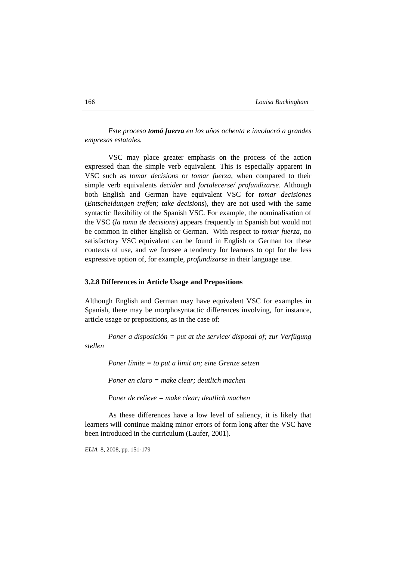*Este proceso tomó fuerza en los años ochenta e involucró a grandes empresas estatales.* 

VSC may place greater emphasis on the process of the action expressed than the simple verb equivalent. This is especially apparent in VSC such as *tomar decisions* or *tomar fuerza*, when compared to their simple verb equivalents *decider* and *fortalecerse/ profundizarse*. Although both English and German have equivalent VSC for *tomar decisiones* (*Entscheidungen treffen; take decisions*), they are not used with the same syntactic flexibility of the Spanish VSC. For example, the nominalisation of the VSC (*la toma de decisions*) appears frequently in Spanish but would not be common in either English or German. With respect to *tomar fuerza*, no satisfactory VSC equivalent can be found in English or German for these contexts of use, and we foresee a tendency for learners to opt for the less expressive option of, for example, *profundizarse* in their language use.

#### **3.2.8 Differences in Article Usage and Prepositions**

Although English and German may have equivalent VSC for examples in Spanish, there may be morphosyntactic differences involving, for instance, article usage or prepositions, as in the case of:

*Poner a disposición = put at the service/ disposal of; zur Verfügung stellen* 

*Poner límite = to put a limit on; eine Grenze setzen* 

*Poner en claro = make clear; deutlich machen* 

*Poner de relieve = make clear; deutlich machen* 

As these differences have a low level of saliency, it is likely that learners will continue making minor errors of form long after the VSC have been introduced in the curriculum (Laufer, 2001).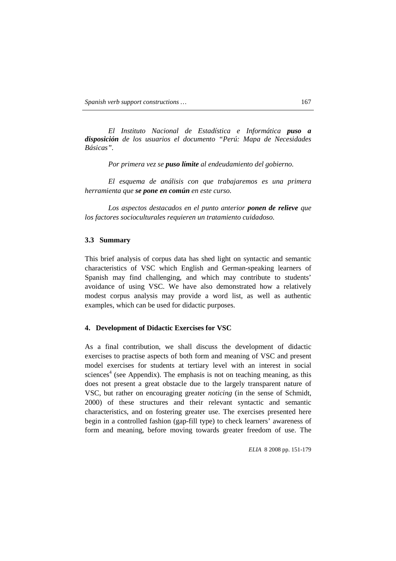*El Instituto Nacional de Estadística e Informática puso a disposición de los usuarios el documento "Perú: Mapa de Necesidades Básicas".* 

*Por primera vez se puso límite al endeudamiento del gobierno.*

*El esquema de análisis con que trabajaremos es una primera herramienta que se pone en común en este curso.* 

*Los aspectos destacados en el punto anterior ponen de relieve que los factores socioculturales requieren un tratamiento cuidadoso.* 

## **3.3 Summary**

This brief analysis of corpus data has shed light on syntactic and semantic characteristics of VSC which English and German-speaking learners of Spanish may find challenging, and which may contribute to students' avoidance of using VSC. We have also demonstrated how a relatively modest corpus analysis may provide a word list, as well as authentic examples, which can be used for didactic purposes.

### **4. Development of Didactic Exercises for VSC**

As a final contribution, we shall discuss the development of didactic exercises to practise aspects of both form and meaning of VSC and present model exercises for students at tertiary level with an interest in social sciences<sup>4</sup> (see Appendix). The emphasis is not on teaching meaning, as this does not present a great obstacle due to the largely transparent nature of VSC, but rather on encouraging greater *noticing* (in the sense of Schmidt, 2000) of these structures and their relevant syntactic and semantic characteristics, and on fostering greater use. The exercises presented here begin in a controlled fashion (gap-fill type) to check learners' awareness of form and meaning, before moving towards greater freedom of use. The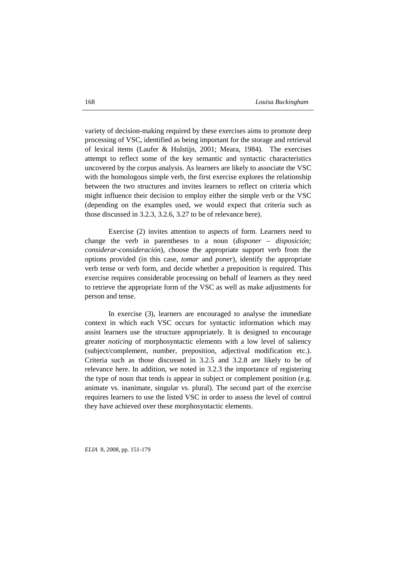variety of decision-making required by these exercises aims to promote deep processing of VSC, identified as being important for the storage and retrieval of lexical items (Laufer & Hulstijn, 2001; Meara, 1984). The exercises attempt to reflect some of the key semantic and syntactic characteristics uncovered by the corpus analysis. As learners are likely to associate the VSC with the homologous simple verb, the first exercise explores the relationship between the two structures and invites learners to reflect on criteria which might influence their decision to employ either the simple verb or the VSC (depending on the examples used, we would expect that criteria such as those discussed in 3.2.3, 3.2.6, 3.27 to be of relevance here).

Exercise (2) invites attention to aspects of form. Learners need to change the verb in parentheses to a noun (*disponer – disposición; considerar-consideración*), choose the appropriate support verb from the options provided (in this case, *tomar* and *poner*), identify the appropriate verb tense or verb form, and decide whether a preposition is required. This exercise requires considerable processing on behalf of learners as they need to retrieve the appropriate form of the VSC as well as make adjustments for person and tense.

In exercise (3), learners are encouraged to analyse the immediate context in which each VSC occurs for syntactic information which may assist learners use the structure appropriately. It is designed to encourage greater *noticing* of morphosyntactic elements with a low level of saliency (subject/complement, number, preposition, adjectival modification etc.). Criteria such as those discussed in 3.2.5 and 3.2.8 are likely to be of relevance here. In addition, we noted in 3.2.3 the importance of registering the type of noun that tends is appear in subject or complement position (e.g. animate vs. inanimate, singular vs. plural). The second part of the exercise requires learners to use the listed VSC in order to assess the level of control they have achieved over these morphosyntactic elements.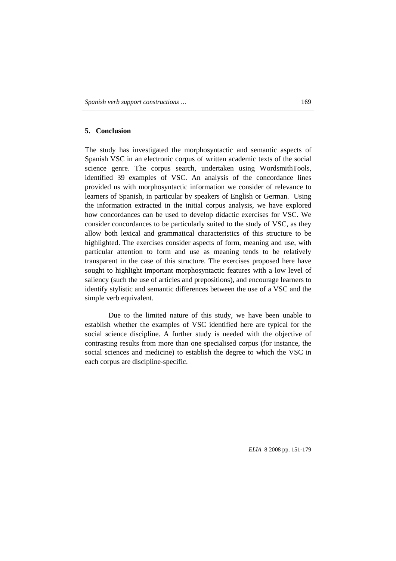## **5. Conclusion**

The study has investigated the morphosyntactic and semantic aspects of Spanish VSC in an electronic corpus of written academic texts of the social science genre. The corpus search, undertaken using WordsmithTools, identified 39 examples of VSC. An analysis of the concordance lines provided us with morphosyntactic information we consider of relevance to learners of Spanish, in particular by speakers of English or German. Using the information extracted in the initial corpus analysis, we have explored how concordances can be used to develop didactic exercises for VSC. We consider concordances to be particularly suited to the study of VSC, as they allow both lexical and grammatical characteristics of this structure to be highlighted. The exercises consider aspects of form, meaning and use, with particular attention to form and use as meaning tends to be relatively transparent in the case of this structure. The exercises proposed here have sought to highlight important morphosyntactic features with a low level of saliency (such the use of articles and prepositions), and encourage learners to identify stylistic and semantic differences between the use of a VSC and the simple verb equivalent.

Due to the limited nature of this study, we have been unable to establish whether the examples of VSC identified here are typical for the social science discipline. A further study is needed with the objective of contrasting results from more than one specialised corpus (for instance, the social sciences and medicine) to establish the degree to which the VSC in each corpus are discipline-specific.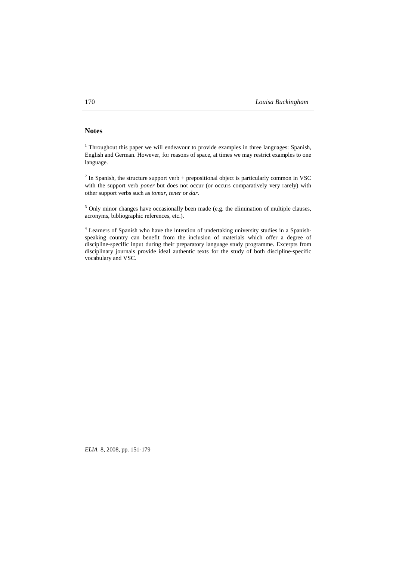# **Notes**

<sup>1</sup> Throughout this paper we will endeavour to provide examples in three languages: Spanish, English and German. However, for reasons of space, at times we may restrict examples to one language.

 $2^{2}$  In Spanish, the structure support verb + prepositional object is particularly common in VSC with the support verb *poner* but does not occur (or occurs comparatively very rarely) with other support verbs such as *tomar, tener* or *dar*.

 $3$  Only minor changes have occasionally been made (e.g. the elimination of multiple clauses, acronyms, bibliographic references, etc.).

<sup>4</sup> Learners of Spanish who have the intention of undertaking university studies in a Spanishspeaking country can benefit from the inclusion of materials which offer a degree of discipline-specific input during their preparatory language study programme. Excerpts from disciplinary journals provide ideal authentic texts for the study of both discipline-specific vocabulary and VSC.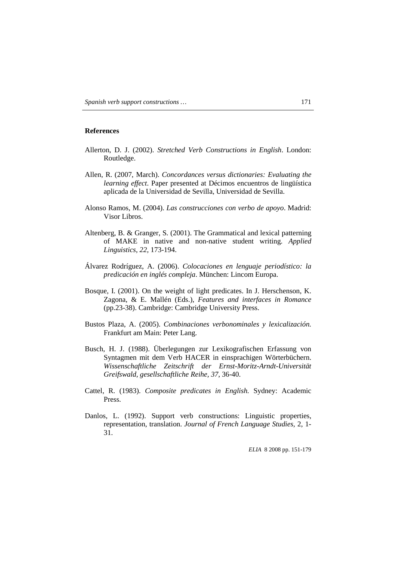## **References**

- Allerton, D. J. (2002). *Stretched Verb Constructions in English*. London: Routledge.
- Allen, R. (2007, March). *Concordances versus dictionaries: Evaluating the learning effect*. Paper presented at Décimos encuentros de lingüística aplicada de la Universidad de Sevilla, Universidad de Sevilla.
- Alonso Ramos, M. (2004). *Las construcciones con verbo de apoyo*. Madrid: Visor Libros.
- Altenberg, B. & Granger, S. (2001). The Grammatical and lexical patterning of MAKE in native and non-native student writing. *Applied Linguistics, 22,* 173-194.
- Álvarez Rodríguez, A. (2006). *Colocaciones en lenguaje periodístico: la predicación en inglés compleja*. München: Lincom Europa.
- Bosque, I. (2001). On the weight of light predicates. In J. Herschenson, K. Zagona, & E. Mallén (Eds.), *Features and interfaces in Romance* (pp.23-38). Cambridge: Cambridge University Press.
- Bustos Plaza, A. (2005). *Combinaciones verbonominales y lexicalización.* Frankfurt am Main: Peter Lang.
- Busch, H. J. (1988). Überlegungen zur Lexikografischen Erfassung von Syntagmen mit dem Verb HACER in einsprachigen Wörterbüchern. *Wissenschaftliche Zeitschrift der Ernst-Moritz-Arndt-Universität Greifswald, gesellschaftliche Reihe, 37*, 36-40.
- Cattel, R. (1983). *Composite predicates in English.* Sydney: Academic Press.
- Danlos, L. (1992). Support verb constructions: Linguistic properties, representation, translation. *Journal of French Language Studies,* 2, 1- 31.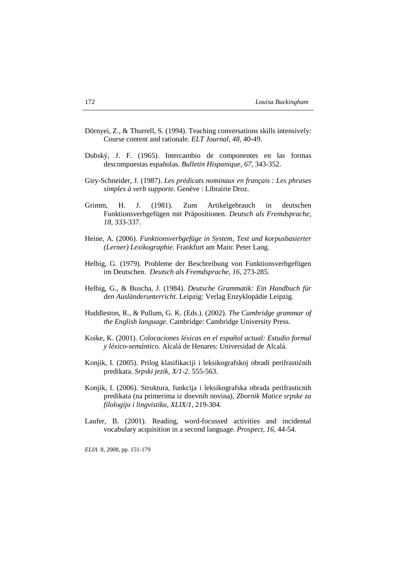- Dörnyei, Z., & Thurrell, S. (1994). Teaching conversations skills intensively: Course content and rationale. *ELT Journal, 48,* 40-49.
- Dubský, J. F. (1965). Intercambio de componentes en las formas descompuestas españolas. *Bulletin Hispanique, 67,* 343-352.
- Giry-Schneider, J. (1987). *Les prédicats nominaux en français : Les phrases simples à verb supporte.* Genève : Librairie Droz.
- Grimm, H. J. (1981). Zum Artikelgebrauch in deutschen Funktionsverbgefügen mit Präpositionen. *Deutsch als Fremdsprache, 18,* 333-337.
- Heine, A. (2006). *Funktionsverbgefüge in System, Text und korpusbasierter (Lerner) Lexikographie*. Frankfurt am Main: Peter Lang.
- Helbig, G. (1979). Probleme der Beschreibung von Funktionsverbgefügen im Deutschen. *Deutsch als Fremdsprache, 16,* 273-285.
- Helbig, G., & Buscha, J. (1984). *Deutsche Grammatik: Ein Handbuch für den Ausländerunterricht*. Leipzig: Verlag Enzyklopädie Leipzig.
- Huddleston, R., & Pullum, G. K. (Eds.). (2002). *The Cambridge grammar of the English language*. Cambridge: Cambridge University Press.
- Koike, K. (2001). *Colocaciones léxicas en el español actual: Estudio formal y léxico-semántico.* Alcalá de Henares: Universidad de Alcalá.
- Konjik, I. (2005). Prilog klasifikaciji i leksikografskoj obradi perifrastičnih predikata. *Srpski jezik, X/1-2*. 555-563.
- Konjik, I. (2006). Struktura, funkcija i leksikografska obrada perifrasticnih predikata (na primerima iz dnevnih novina), *Zbornik Matice srpske za filologiju i lingvistiku, XLIX/1*, 219-304.
- Laufer, B. (2001). Reading, word-focussed activities and incidental vocabulary acquisition in a second language. *Prospect, 16,* 44-54.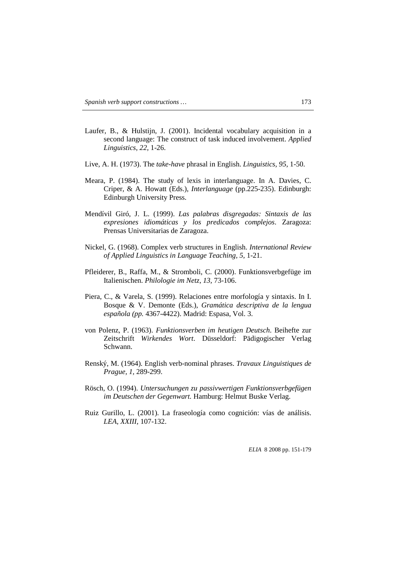- Laufer, B., & Hulstijn, J. (2001). Incidental vocabulary acquisition in a second language: The construct of task induced involvement. *Applied Linguistics, 22,* 1-26.
- Live, A. H. (1973). The *take-have* phrasal in English. *Linguistics, 95,* 1-50.
- Meara, P. (1984). The study of lexis in interlanguage. In A. Davies, C. Criper, & A. Howatt (Eds.), *Interlanguage* (pp.225-235). Edinburgh: Edinburgh University Press.
- Mendívil Giró, J. L. (1999). *Las palabras disgregadas: Sintaxis de las expresiones idiomáticas y los predicados complejos*. Zaragoza: Prensas Universitarias de Zaragoza.
- Nickel, G. (1968). Complex verb structures in English. *International Review of Applied Linguistics in Language Teaching, 5,* 1-21.
- Pfleiderer, B., Raffa, M., & Stromboli, C. (2000). Funktionsverbgefüge im Italienischen. *Philologie im Netz, 13,* 73-106.
- Piera, C., & Varela, S. (1999). Relaciones entre morfología y sintaxis. In I. Bosque & V. Demonte (Eds.), *Gramática descriptiva de la lengua española (pp.* 4367-4422). Madrid: Espasa, Vol. 3.
- von Polenz, P. (1963). *Funktionsverben im heutigen Deutsch*. Beihefte zur Zeitschrift *Wirkendes Wort*. Düsseldorf: Pädigogischer Verlag Schwann.
- Renský, M. (1964). English verb-nominal phrases. *Travaux Linguistiques de Prague, 1,* 289-299.
- Rösch, O. (1994). *Untersuchungen zu passivwertigen Funktionsverbgefügen im Deutschen der Gegenwart.* Hamburg: Helmut Buske Verlag.
- Ruiz Gurillo, L. (2001). La fraseología como cognición: vías de análisis. *LEA, XXIII,* 107-132.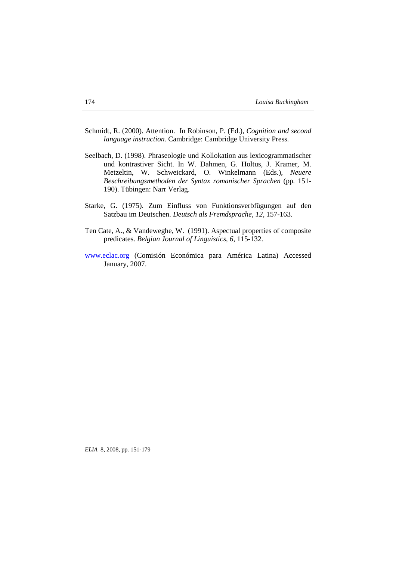- Schmidt, R. (2000). Attention. In Robinson, P. (Ed.), *Cognition and second language instruction.* Cambridge: Cambridge University Press.
- Seelbach, D. (1998). Phraseologie und Kollokation aus lexicogrammatischer und kontrastiver Sicht. In W. Dahmen, G. Holtus, J. Kramer, M. Metzeltin, W. Schweickard, O. Winkelmann (Eds.), *Neuere Beschreibungsmethoden der Syntax romanischer Sprachen* (pp*.* 151- 190). Tübingen: Narr Verlag.
- Starke, G. (1975). Zum Einfluss von Funktionsverbfügungen auf den Satzbau im Deutschen. *Deutsch als Fremdsprache, 12,* 157-163.
- Ten Cate, A., & Vandeweghe, W. (1991). Aspectual properties of composite predicates. *Belgian Journal of Linguistics, 6,* 115-132.
- www.eclac.org (Comisión Económica para América Latina) Accessed January, 2007.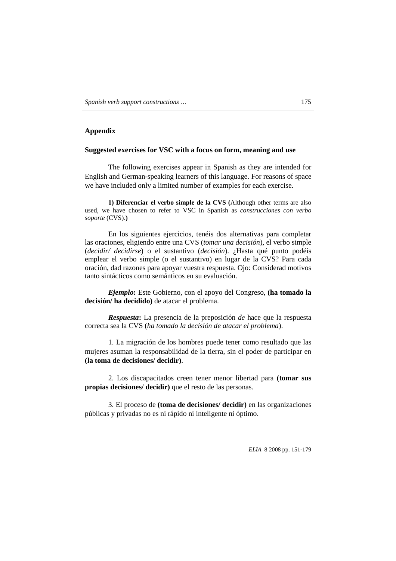# **Appendix**

# **Suggested exercises for VSC with a focus on form, meaning and use**

The following exercises appear in Spanish as they are intended for English and German-speaking learners of this language. For reasons of space we have included only a limited number of examples for each exercise.

**1) Diferenciar el verbo simple de la CVS (**Although other terms are also used, we have chosen to refer to VSC in Spanish as *construcciones con verbo soporte* (CVS).**)**

En los siguientes ejercicios, tenéis dos alternativas para completar las oraciones, eligiendo entre una CVS (*tomar una decisión*), el verbo simple (*decidir/ decidirse*) o el sustantivo (*decisión*). ¿Hasta qué punto podéis emplear el verbo simple (o el sustantivo) en lugar de la CVS? Para cada oración, dad razones para apoyar vuestra respuesta. Ojo: Considerad motivos tanto sintácticos como semánticos en su evaluación.

*Ejemplo***:** Este Gobierno, con el apoyo del Congreso, **(ha tomado la decisión/ ha decidido)** de atacar el problema.

*Respuesta***:** La presencia de la preposición *de* hace que la respuesta correcta sea la CVS (*ha tomado la decisión de atacar el problema*).

1. La migración de los hombres puede tener como resultado que las mujeres asuman la responsabilidad de la tierra, sin el poder de participar en **(la toma de decisiones/ decidir)**.

2. Los discapacitados creen tener menor libertad para **(tomar sus propias decisiones/ decidir)** que el resto de las personas.

3. El proceso de **(toma de decisiones/ decidir)** en las organizaciones públicas y privadas no es ni rápido ni inteligente ni óptimo.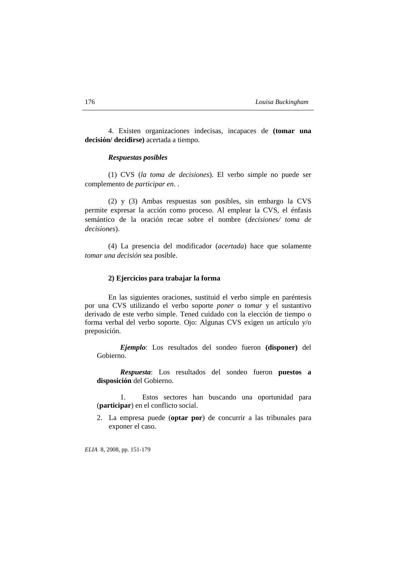4. Existen organizaciones indecisas, incapaces de **(tomar una decisión/ decidirse)** acertada a tiempo.

# *Respuestas posibles*

(1) CVS (*la toma de decisiones*). El verbo simple no puede ser complemento de *participar en*. .

(2) y (3) Ambas respuestas son posibles, sin embargo la CVS permite expresar la acción como proceso. Al emplear la CVS, el énfasis semántico de la oración recae sobre el nombre (*decisiones/ toma de decisiones*).

(4) La presencia del modificador (*acertada*) hace que solamente *tomar una decisión* sea posible.

#### **2) Ejercicios para trabajar la forma**

En las siguientes oraciones, sustituid el verbo simple en paréntesis por una CVS utilizando el verbo soporte *poner* o *tomar* y el sustantivo derivado de este verbo simple. Tened cuidado con la elección de tiempo o forma verbal del verbo soporte. Ojo: Algunas CVS exigen un artículo y/o preposición.

*Ejemplo*: Los resultados del sondeo fueron **(disponer)** del Gobierno.

*Respuesta*: Los resultados del sondeo fueron **puestos a disposición** del Gobierno.

1. Estos sectores han buscando una oportunidad para (**participar**) en el conflicto social.

2. La empresa puede (**optar por**) de concurrir a las tribunales para exponer el caso.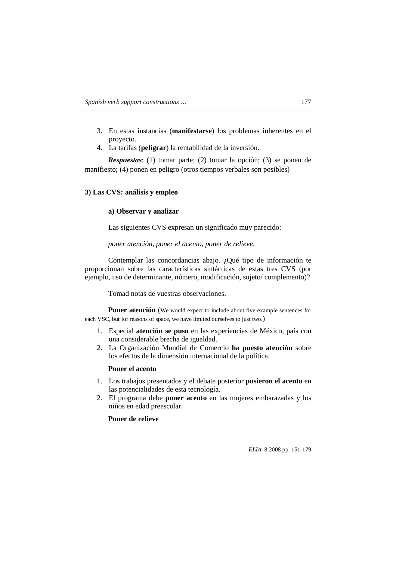- 3. En estas instancias (**manifestarse**) los problemas inherentes en el proyecto.
- 4. La tarifas (**peligrar**) la rentabilidad de la inversión.

*Respuestas*: (1) tomar parte; (2) tomar la opción; (3) se ponen de manifiesto; (4) ponen en peligro (otros tiempos verbales son posibles)

## **3) Las CVS: análisis y empleo**

### **a) Observar y analizar**

Las siguientes CVS expresan un significado muy parecido:

### *poner atención, poner el acento, poner de relieve,*

Contemplar las concordancias abajo. ¿Qué tipo de información te proporcionan sobre las características sintácticas de estas tres CVS (por ejemplo, uso de determinante, número, modificación, sujeto/ complemento)?

Tomad notas de vuestras observaciones.

**Poner atención** (We would expect to include about five example sentences for each VSC, but for reasons of space, we have limited ourselves to just two.)

- 1. Especial **atención se puso** en las experiencias de México, país con una considerable brecha de igualdad.
- 2. La Organización Mundial de Comercio **ha puesto atención** sobre los efectos de la dimensión internacional de la política.

#### **Poner el acento**

- 1. Los trabajos presentados y el debate posterior **pusieron el acento** en las potencialidades de esta tecnología.
- 2. El programa debe **poner acento** en las mujeres embarazadas y los niños en edad preescolar.

# **Poner de relieve**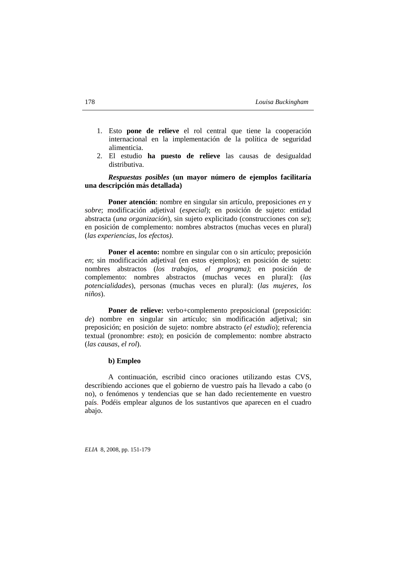- 1. Esto **pone de relieve** el rol central que tiene la cooperación internacional en la implementación de la política de seguridad alimenticia.
- 2. El estudio **ha puesto de relieve** las causas de desigualdad distributiva.

# *Respuestas posibles* **(un mayor número de ejemplos facilitaría una descripción más detallada)**

**Poner atención**: nombre en singular sin artículo, preposiciones *en* y *sobre*; modificación adjetival (*especial*); en posición de sujeto: entidad abstracta (*una organización*), sin sujeto explicitado (construcciones con *se*); en posición de complemento: nombres abstractos (muchas veces en plural) (*las experiencias, los efectos)*.

**Poner el acento:** nombre en singular con o sin artículo; preposición *en*; sin modificación adjetival (en estos ejemplos); en posición de sujeto: nombres abstractos (*los trabajos, el programa)*; en posición de complemento: nombres abstractos (muchas veces en plural): (*las potencialidades*), personas (muchas veces en plural): (*las mujeres, los niños*).

**Poner de relieve:** verbo+complemento preposicional (preposición: *de*) nombre en singular sin artículo; sin modificación adjetival; sin preposición; en posición de sujeto: nombre abstracto (*el estudio*); referencia textual (pronombre: *esto*); en posición de complemento: nombre abstracto (*las causas, el rol*).

#### **b) Empleo**

A continuación, escribid cinco oraciones utilizando estas CVS, describiendo acciones que el gobierno de vuestro país ha llevado a cabo (o no), o fenómenos y tendencias que se han dado recientemente en vuestro país. Podéis emplear algunos de los sustantivos que aparecen en el cuadro abajo.